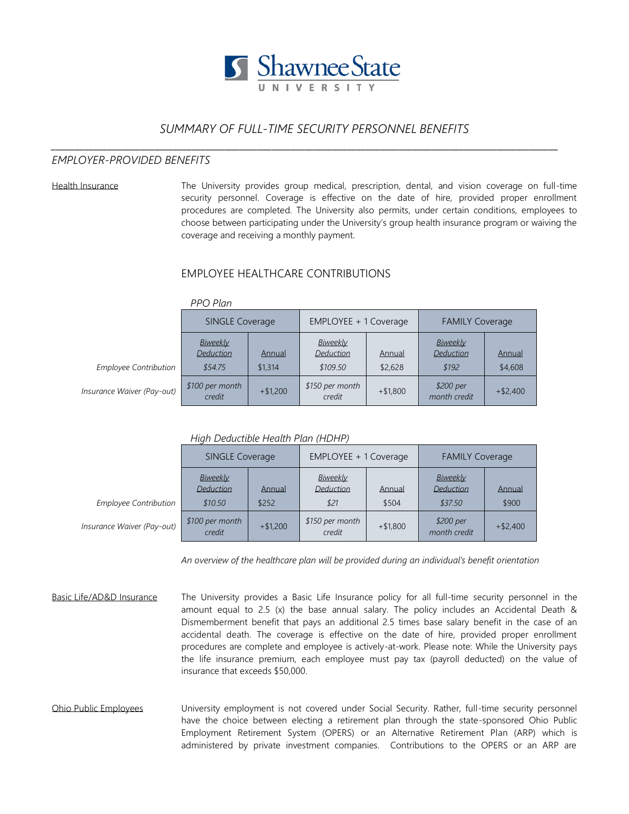

# *SUMMARY OF FULL-TIME SECURITY PERSONNEL BENEFITS*

*\_\_\_\_\_\_\_\_\_\_\_\_\_\_\_\_\_\_\_\_\_\_\_\_\_\_\_\_\_\_\_\_\_\_\_\_\_\_\_\_\_\_\_\_\_\_\_\_\_\_\_\_\_\_\_\_\_\_\_\_\_\_\_\_\_\_\_\_\_\_\_\_\_\_\_\_\_\_\_\_\_\_\_\_\_\_\_\_\_\_\_\_\_\_\_\_\_\_\_\_\_\_\_\_\_\_\_\_*

## *EMPLOYER-PROVIDED BENEFITS*

Health Insurance The University provides group medical, prescription, dental, and vision coverage on full-time security personnel. Coverage is effective on the date of hire, provided proper enrollment procedures are completed. The University also permits, under certain conditions, employees to choose between participating under the University's group health insurance program or waiving the coverage and receiving a monthly payment.

### EMPLOYEE HEALTHCARE CONTRIBUTIONS

|                              | <b>SINGLE Coverage</b>                  |                   | EMPLOYEE + 1 Coverage             |                   | <b>FAMILY Coverage</b>         |                   |
|------------------------------|-----------------------------------------|-------------------|-----------------------------------|-------------------|--------------------------------|-------------------|
| <b>Employee Contribution</b> | Biweekly<br><b>Deduction</b><br>\$54.75 | Annual<br>\$1,314 | Biweekly<br>Deduction<br>\$109.50 | Annual<br>\$2,628 | Biweekly<br>Deduction<br>\$192 | Annual<br>\$4,608 |
| Insurance Waiver (Pay-out)   | \$100 per month<br>credit               | $+ $1,200$        | \$150 per month<br>credit         | $+ $1,800$        | \$200 per<br>month credit      | $+ $2,400$        |

#### *PPO Plan*

*High Deductible Health Plan (HDHP)*

|                              | <b>SINGLE Coverage</b>                  |                 | EMPLOYEE + 1 Coverage         |                 | <b>FAMILY Coverage</b>           |                 |
|------------------------------|-----------------------------------------|-----------------|-------------------------------|-----------------|----------------------------------|-----------------|
| <b>Employee Contribution</b> | Biweekly<br><b>Deduction</b><br>\$10.50 | Annual<br>\$252 | Biweekly<br>Deduction<br>\$21 | Annual<br>\$504 | Biweekly<br>Deduction<br>\$37.50 | Annual<br>\$900 |
| Insurance Waiver (Pay-out)   | \$100 per month<br>credit               | $+ $1,200$      | \$150 per month<br>credit     | $+ $1,800$      | \$200 per<br>month credit        | $+ $2,400$      |

*An overview of the healthcare plan will be provided during an individual's benefit orientation*

Basic Life/AD&D Insurance The University provides a Basic Life Insurance policy for all full-time security personnel in the amount equal to 2.5 (x) the base annual salary. The policy includes an Accidental Death & Dismemberment benefit that pays an additional 2.5 times base salary benefit in the case of an accidental death. The coverage is effective on the date of hire, provided proper enrollment procedures are complete and employee is actively-at-work. Please note: While the University pays the life insurance premium, each employee must pay tax (payroll deducted) on the value of insurance that exceeds \$50,000.

Ohio Public Employees University employment is not covered under Social Security. Rather, full-time security personnel have the choice between electing a retirement plan through the state-sponsored Ohio Public Employment Retirement System (OPERS) or an Alternative Retirement Plan (ARP) which is administered by private investment companies. Contributions to the OPERS or an ARP are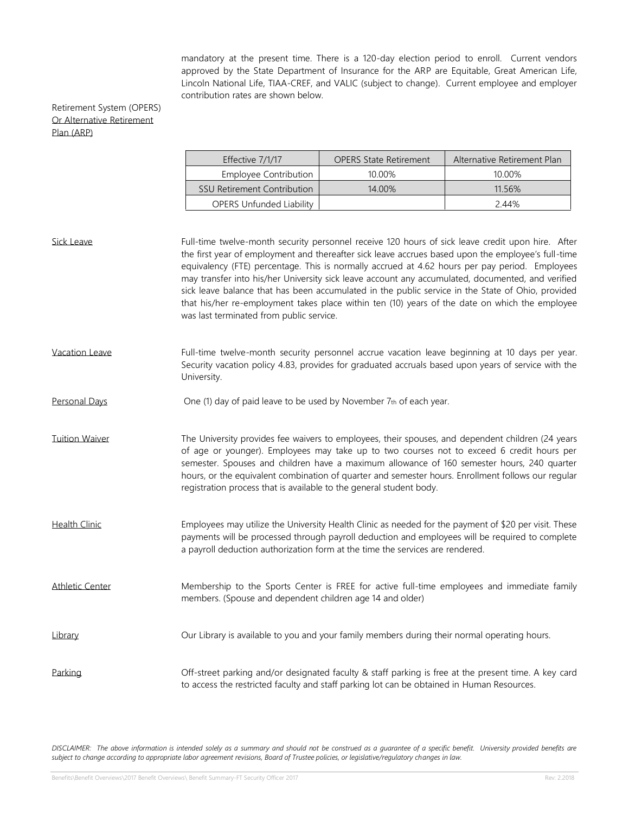mandatory at the present time. There is a 120-day election period to enroll. Current vendors approved by the State Department of Insurance for the ARP are Equitable, Great American Life, Lincoln National Life, TIAA-CREF, and VALIC (subject to change). Current employee and employer contribution rates are shown below.

### Retirement System (OPERS) Or Alternative Retirement Plan (ARP)

| Effective 7/1/17                   | <b>OPERS State Retirement</b> | Alternative Retirement Plan |  |
|------------------------------------|-------------------------------|-----------------------------|--|
| Employee Contribution              | 10.00%                        | 10.00%                      |  |
| <b>SSU Retirement Contribution</b> | 14 00%                        | 11 5 6 %                    |  |
| <b>OPERS Unfunded Liability</b>    |                               | 2.44%                       |  |

Sick Leave Full-time twelve-month security personnel receive 120 hours of sick leave credit upon hire. After the first year of employment and thereafter sick leave accrues based upon the employee's full-time equivalency (FTE) percentage. This is normally accrued at 4.62 hours per pay period. Employees may transfer into his/her University sick leave account any accumulated, documented, and verified sick leave balance that has been accumulated in the public service in the State of Ohio, provided that his/her re-employment takes place within ten (10) years of the date on which the employee was last terminated from public service. Vacation Leave Full-time twelve-month security personnel accrue vacation leave beginning at 10 days per year. Security vacation policy 4.83, provides for graduated accruals based upon years of service with the University. Personal Days One (1) day of paid leave to be used by November 7th of each year. Tuition Waiver The University provides fee waivers to employees, their spouses, and dependent children (24 years of age or younger). Employees may take up to two courses not to exceed 6 credit hours per semester. Spouses and children have a maximum allowance of 160 semester hours, 240 quarter hours, or the equivalent combination of quarter and semester hours. Enrollment follows our regular registration process that is available to the general student body. Health Clinic **Employees may utilize the University Health Clinic as needed for the payment of \$20 per visit. These** payments will be processed through payroll deduction and employees will be required to complete a payroll deduction authorization form at the time the services are rendered. Athletic Center Membership to the Sports Center is FREE for active full-time employees and immediate family members. (Spouse and dependent children age 14 and older) Library Our Library is available to you and your family members during their normal operating hours. Parking **Def-street parking and/or designated faculty & staff parking is free at the present time. A key card** to access the restricted faculty and staff parking lot can be obtained in Human Resources.

*DISCLAIMER: The above information is intended solely as a summary and should not be construed as a guarantee of a specific benefit. University provided benefits are subject to change according to appropriate labor agreement revisions, Board of Trustee policies, or legislative/regulatory changes in law.*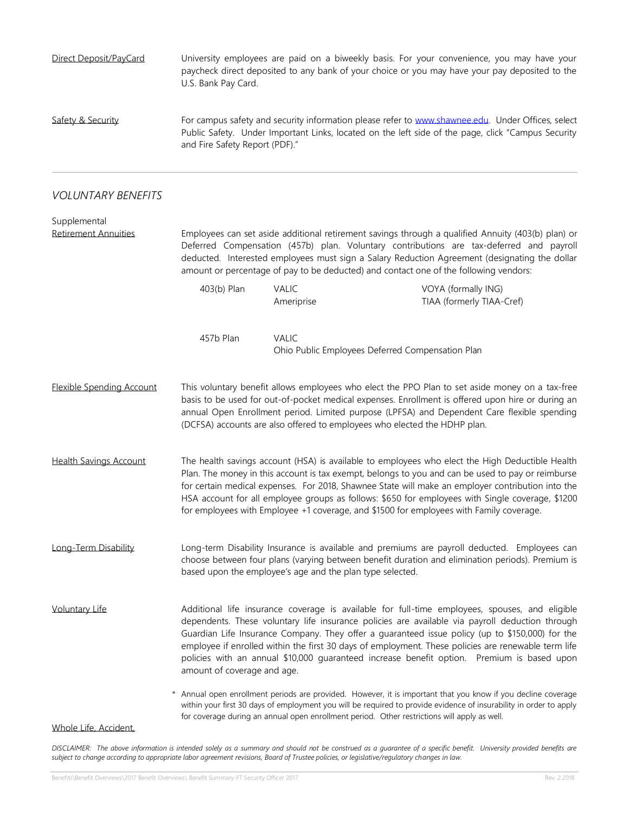| Direct Deposit/PayCard                      | University employees are paid on a biweekly basis. For your convenience, you may have your<br>paycheck direct deposited to any bank of your choice or you may have your pay deposited to the<br>U.S. Bank Pay Card.                                                                                                                                                                                                                                                                                                                      |                            |                                                                                                                                                                                                                                                                                                                                   |  |  |  |
|---------------------------------------------|------------------------------------------------------------------------------------------------------------------------------------------------------------------------------------------------------------------------------------------------------------------------------------------------------------------------------------------------------------------------------------------------------------------------------------------------------------------------------------------------------------------------------------------|----------------------------|-----------------------------------------------------------------------------------------------------------------------------------------------------------------------------------------------------------------------------------------------------------------------------------------------------------------------------------|--|--|--|
| Safety & Security                           | For campus safety and security information please refer to www.shawnee.edu. Under Offices, select<br>Public Safety. Under Important Links, located on the left side of the page, click "Campus Security<br>and Fire Safety Report (PDF)."                                                                                                                                                                                                                                                                                                |                            |                                                                                                                                                                                                                                                                                                                                   |  |  |  |
| <b>VOLUNTARY BENEFITS</b>                   |                                                                                                                                                                                                                                                                                                                                                                                                                                                                                                                                          |                            |                                                                                                                                                                                                                                                                                                                                   |  |  |  |
| Supplemental<br><b>Retirement Annuities</b> | Employees can set aside additional retirement savings through a qualified Annuity (403(b) plan) or<br>Deferred Compensation (457b) plan. Voluntary contributions are tax-deferred and payroll<br>deducted. Interested employees must sign a Salary Reduction Agreement (designating the dollar<br>amount or percentage of pay to be deducted) and contact one of the following vendors:                                                                                                                                                  |                            |                                                                                                                                                                                                                                                                                                                                   |  |  |  |
|                                             | 403(b) Plan                                                                                                                                                                                                                                                                                                                                                                                                                                                                                                                              | <b>VALIC</b><br>Ameriprise | VOYA (formally ING)<br>TIAA (formerly TIAA-Cref)                                                                                                                                                                                                                                                                                  |  |  |  |
|                                             | 457b Plan                                                                                                                                                                                                                                                                                                                                                                                                                                                                                                                                | <b>VALIC</b>               | Ohio Public Employees Deferred Compensation Plan                                                                                                                                                                                                                                                                                  |  |  |  |
| <b>Elexible Spending Account</b>            | This voluntary benefit allows employees who elect the PPO Plan to set aside money on a tax-free<br>basis to be used for out-of-pocket medical expenses. Enrollment is offered upon hire or during an<br>annual Open Enrollment period. Limited purpose (LPFSA) and Dependent Care flexible spending<br>(DCFSA) accounts are also offered to employees who elected the HDHP plan.                                                                                                                                                         |                            |                                                                                                                                                                                                                                                                                                                                   |  |  |  |
| <b>Health Savings Account</b>               | The health savings account (HSA) is available to employees who elect the High Deductible Health<br>Plan. The money in this account is tax exempt, belongs to you and can be used to pay or reimburse<br>for certain medical expenses. For 2018, Shawnee State will make an employer contribution into the<br>HSA account for all employee groups as follows: \$650 for employees with Single coverage, \$1200<br>for employees with Employee +1 coverage, and \$1500 for employees with Family coverage.                                 |                            |                                                                                                                                                                                                                                                                                                                                   |  |  |  |
| Long-Term Disability                        | Long-term Disability Insurance is available and premiums are payroll deducted. Employees can<br>choose between four plans (varying between benefit duration and elimination periods). Premium is<br>based upon the employee's age and the plan type selected.                                                                                                                                                                                                                                                                            |                            |                                                                                                                                                                                                                                                                                                                                   |  |  |  |
| <b>Voluntary Life</b>                       | Additional life insurance coverage is available for full-time employees, spouses, and eligible<br>dependents. These voluntary life insurance policies are available via payroll deduction through<br>Guardian Life Insurance Company. They offer a guaranteed issue policy (up to \$150,000) for the<br>employee if enrolled within the first 30 days of employment. These policies are renewable term life<br>policies with an annual \$10,000 guaranteed increase benefit option. Premium is based upon<br>amount of coverage and age. |                            |                                                                                                                                                                                                                                                                                                                                   |  |  |  |
|                                             | $\star$                                                                                                                                                                                                                                                                                                                                                                                                                                                                                                                                  |                            | Annual open enrollment periods are provided. However, it is important that you know if you decline coverage<br>within your first 30 days of employment you will be required to provide evidence of insurability in order to apply<br>for coverage during an annual open enrollment period. Other restrictions will apply as well. |  |  |  |

Whole Life, Accident,

*DISCLAIMER: The above information is intended solely as a summary and should not be construed as a guarantee of a specific benefit. University provided benefits are subject to change according to appropriate labor agreement revisions, Board of Trustee policies, or legislative/regulatory changes in law.*